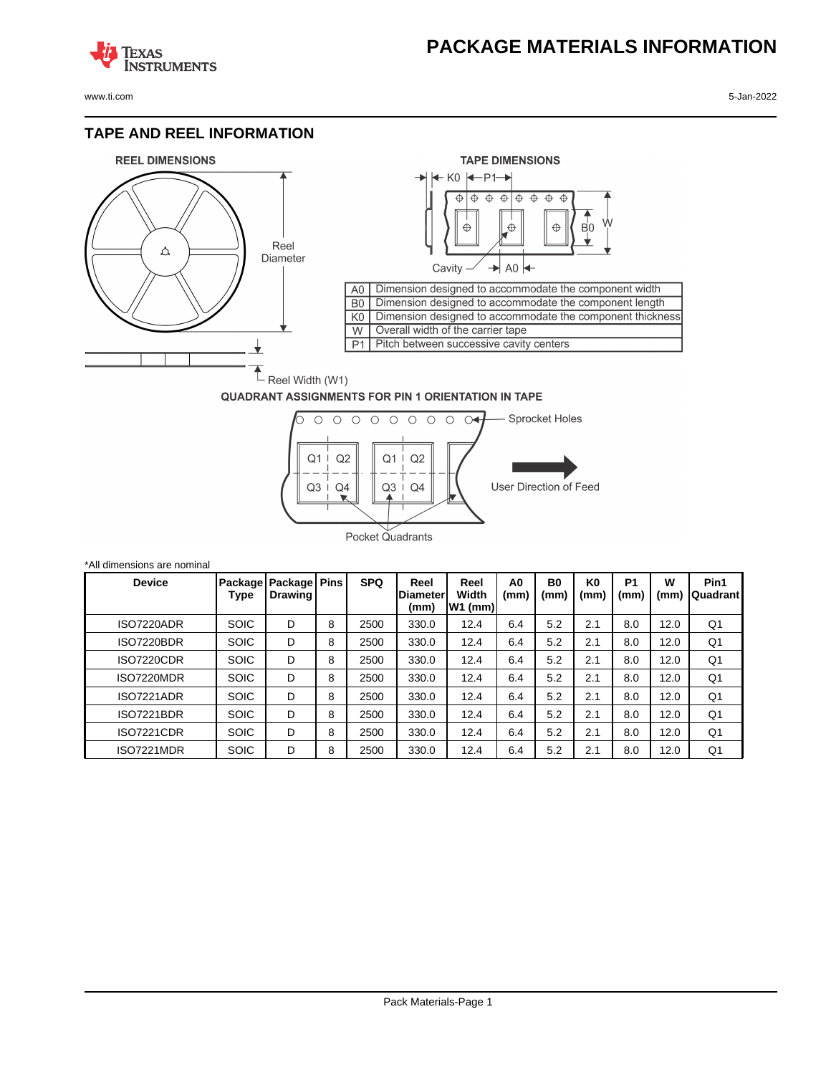## **PACKAGE MATERIALS INFORMATION**

**TEXAS NSTRUMENTS** 

www.ti.com 5-Jan-2022

### **TAPE AND REEL INFORMATION**





#### **QUADRANT ASSIGNMENTS FOR PIN 1 ORIENTATION IN TAPE**



| *All dimensions are nominal |                 |                                  |   |            |                                 |                            |            |                   |                        |                        |           |                  |
|-----------------------------|-----------------|----------------------------------|---|------------|---------------------------------|----------------------------|------------|-------------------|------------------------|------------------------|-----------|------------------|
| <b>Device</b>               | Package<br>Type | Package   Pins<br><b>Drawing</b> |   | <b>SPQ</b> | Reel<br><b>Diameter</b><br>(mm) | Reel<br>Width<br>$W1$ (mm) | A0<br>(mm) | <b>B0</b><br>(mm) | K <sub>0</sub><br>(mm) | P <sub>1</sub><br>(mm) | W<br>(mm) | Pin1<br>Quadrant |
| ISO7220ADR                  | <b>SOIC</b>     | D                                | 8 | 2500       | 330.0                           | 12.4                       | 6.4        | 5.2               | 2.1                    | 8.0                    | 12.0      | Q1               |
| <b>ISO7220BDR</b>           | <b>SOIC</b>     | D                                | 8 | 2500       | 330.0                           | 12.4                       | 6.4        | 5.2               | 2.1                    | 8.0                    | 12.0      | Q1               |
| <b>ISO7220CDR</b>           | <b>SOIC</b>     | D                                | 8 | 2500       | 330.0                           | 12.4                       | 6.4        | 5.2               | 2.1                    | 8.0                    | 12.0      | Q1               |
| ISO7220MDR                  | <b>SOIC</b>     | D                                | 8 | 2500       | 330.0                           | 12.4                       | 6.4        | 5.2               | 2.1                    | 8.0                    | 12.0      | Q1               |
| ISO7221ADR                  | <b>SOIC</b>     | D                                | 8 | 2500       | 330.0                           | 12.4                       | 6.4        | 5.2               | 2.1                    | 8.0                    | 12.0      | Q <sub>1</sub>   |
| <b>ISO7221BDR</b>           | <b>SOIC</b>     | D                                | 8 | 2500       | 330.0                           | 12.4                       | 6.4        | 5.2               | 2.1                    | 8.0                    | 12.0      | Q1               |
| <b>ISO7221CDR</b>           | <b>SOIC</b>     | D                                | 8 | 2500       | 330.0                           | 12.4                       | 6.4        | 5.2               | 2.1                    | 8.0                    | 12.0      | Q1               |
| ISO7221MDR                  | <b>SOIC</b>     | D                                | 8 | 2500       | 330.0                           | 12.4                       | 6.4        | 5.2               | 2.1                    | 8.0                    | 12.0      | Q1               |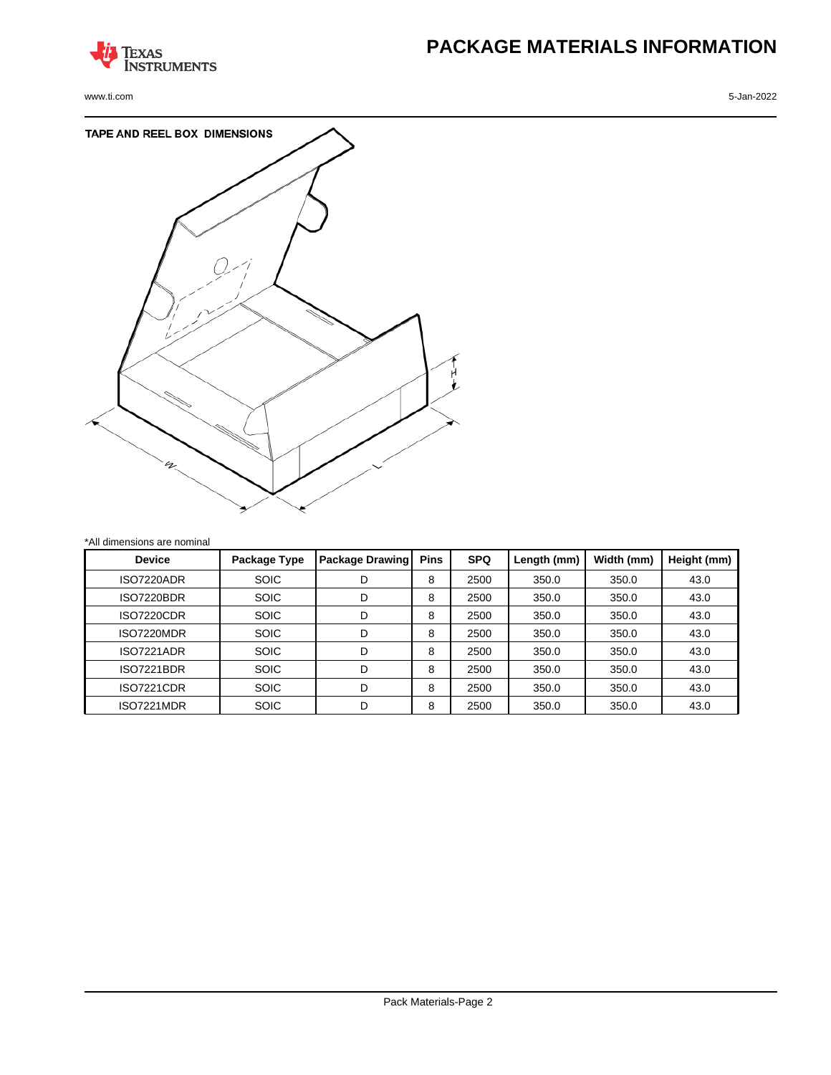

www.ti.com 5-Jan-2022

# **PACKAGE MATERIALS INFORMATION**



| <b>Device</b>     | Package Type | <b>Package Drawing</b> | <b>Pins</b> | <b>SPQ</b> | Length (mm) | Width (mm) | Height (mm) |
|-------------------|--------------|------------------------|-------------|------------|-------------|------------|-------------|
| ISO7220ADR        | <b>SOIC</b>  | D                      | 8           | 2500       | 350.0       | 350.0      | 43.0        |
| <b>ISO7220BDR</b> | <b>SOIC</b>  | D                      | 8           | 2500       | 350.0       | 350.0      | 43.0        |
| <b>ISO7220CDR</b> | <b>SOIC</b>  | D                      | 8           | 2500       | 350.0       | 350.0      | 43.0        |
| ISO7220MDR        | <b>SOIC</b>  | D                      | 8           | 2500       | 350.0       | 350.0      | 43.0        |
| ISO7221ADR        | <b>SOIC</b>  | D                      | 8           | 2500       | 350.0       | 350.0      | 43.0        |
| <b>ISO7221BDR</b> | <b>SOIC</b>  | D                      | 8           | 2500       | 350.0       | 350.0      | 43.0        |
| <b>ISO7221CDR</b> | <b>SOIC</b>  | D                      | 8           | 2500       | 350.0       | 350.0      | 43.0        |
| ISO7221MDR        | <b>SOIC</b>  | D                      | 8           | 2500       | 350.0       | 350.0      | 43.0        |